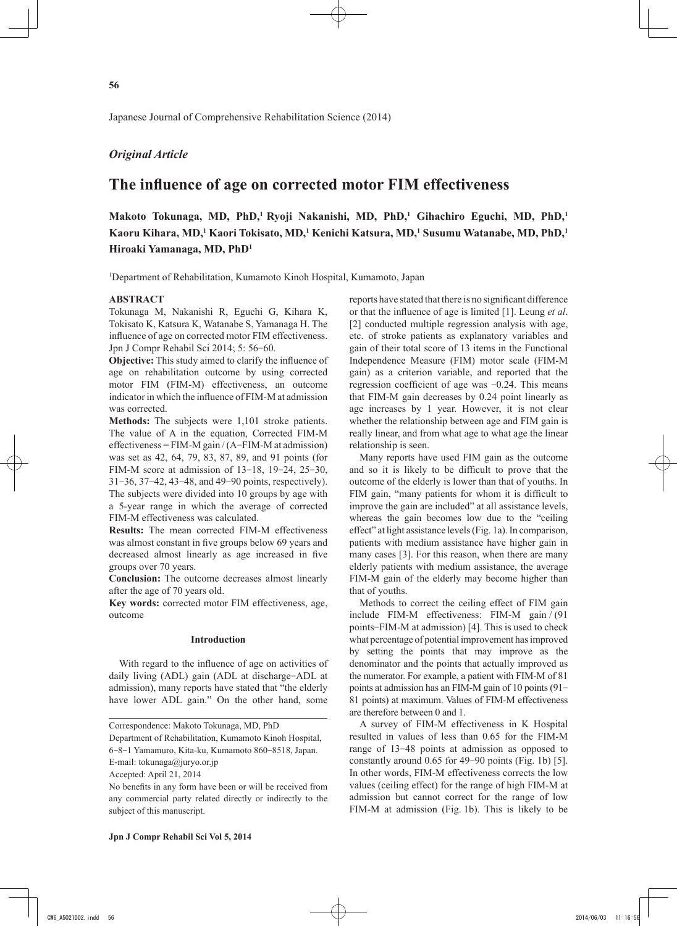## *Original Article*

# **The influence of age on corrected motor FIM effectiveness**

**Makoto Tokunaga, MD, PhD,<sup>1</sup>Ryoji Nakanishi, MD, PhD,<sup>1</sup> Gihachiro Eguchi, MD, PhD,<sup>1</sup> Kaoru Kihara, MD,<sup>1</sup> Kaori Tokisato, MD,<sup>1</sup> Kenichi Katsura, MD,<sup>1</sup> Susumu Watanabe, MD, PhD,<sup>1</sup> Hiroaki Yamanaga, MD, PhD<sup>1</sup>**

1 Department of Rehabilitation, Kumamoto Kinoh Hospital, Kumamoto, Japan

## **ABSTRACT**

Tokunaga M, Nakanishi R, Eguchi G, Kihara K, Tokisato K, Katsura K, Watanabe S, Yamanaga H. The influence of age on corrected motor FIM effectiveness. Jpn J Compr Rehabil Sci 2014; 5: 56-60.

**Objective:** This study aimed to clarify the influence of age on rehabilitation outcome by using corrected motor FIM (FIM-M) effectiveness, an outcome indicator in which the influence of FIM-M at admission was corrected.

**Methods:** The subjects were 1,101 stroke patients. The value of A in the equation, Corrected FIM-M effectiveness =  $FIM-M$  gain /  $(A-FIM-M$  at admission) was set as 42, 64, 79, 83, 87, 89, and 91 points (for FIM-M score at admission of 13-18, 19-24, 25-30, 31-36, 37-42, 43-48, and 49-90 points, respectively). The subjects were divided into 10 groups by age with a 5-year range in which the average of corrected FIM-M effectiveness was calculated.

**Results:** The mean corrected FIM-M effectiveness was almost constant in five groups below 69 years and decreased almost linearly as age increased in five groups over 70 years.

**Conclusion:** The outcome decreases almost linearly after the age of 70 years old.

**Key words:** corrected motor FIM effectiveness, age, outcome

### **Introduction**

With regard to the influence of age on activities of daily living (ADL) gain (ADL at discharge-ADL at admission), many reports have stated that "the elderly have lower ADL gain." On the other hand, some

Department of Rehabilitation, Kumamoto Kinoh Hospital,

6-8-1 Yamamuro, Kita-ku, Kumamoto 860-8518, Japan.

E-mail: tokunaga@juryo.or.jp

Accepted: April 21, 2014

reports have stated that there is no significant difference or that the influence of age is limited [1]. Leung *et al*. [2] conducted multiple regression analysis with age, etc. of stroke patients as explanatory variables and gain of their total score of 13 items in the Functional Independence Measure (FIM) motor scale (FIM-M gain) as a criterion variable, and reported that the regression coefficient of age was -0.24. This means that FIM-M gain decreases by 0.24 point linearly as age increases by 1 year. However, it is not clear whether the relationship between age and FIM gain is really linear, and from what age to what age the linear relationship is seen.

Many reports have used FIM gain as the outcome and so it is likely to be difficult to prove that the outcome of the elderly is lower than that of youths. In FIM gain, "many patients for whom it is difficult to improve the gain are included" at all assistance levels, whereas the gain becomes low due to the "ceiling effect" at light assistance levels (Fig. 1a). In comparison, patients with medium assistance have higher gain in many cases [3]. For this reason, when there are many elderly patients with medium assistance, the average FIM-M gain of the elderly may become higher than that of youths.

Methods to correct the ceiling effect of FIM gain include FIM-M effectiveness: FIM-M gain / (91 points-FIM-M at admission) [4]. This is used to check what percentage of potential improvement has improved by setting the points that may improve as the denominator and the points that actually improved as the numerator. For example, a patient with FIM-M of 81 points at admission has an FIM-M gain of 10 points (91- 81 points) at maximum. Values of FIM-M effectiveness are therefore between 0 and 1.

A survey of FIM-M effectiveness in K Hospital resulted in values of less than 0.65 for the FIM-M range of 13-48 points at admission as opposed to constantly around 0.65 for 49-90 points (Fig. 1b) [5]. In other words, FIM-M effectiveness corrects the low values (ceiling effect) for the range of high FIM-M at admission but cannot correct for the range of low FIM-M at admission (Fig. 1b). This is likely to be

Correspondence: Makoto Tokunaga, MD, PhD

No benefits in any form have been or will be received from any commercial party related directly or indirectly to the subject of this manuscript.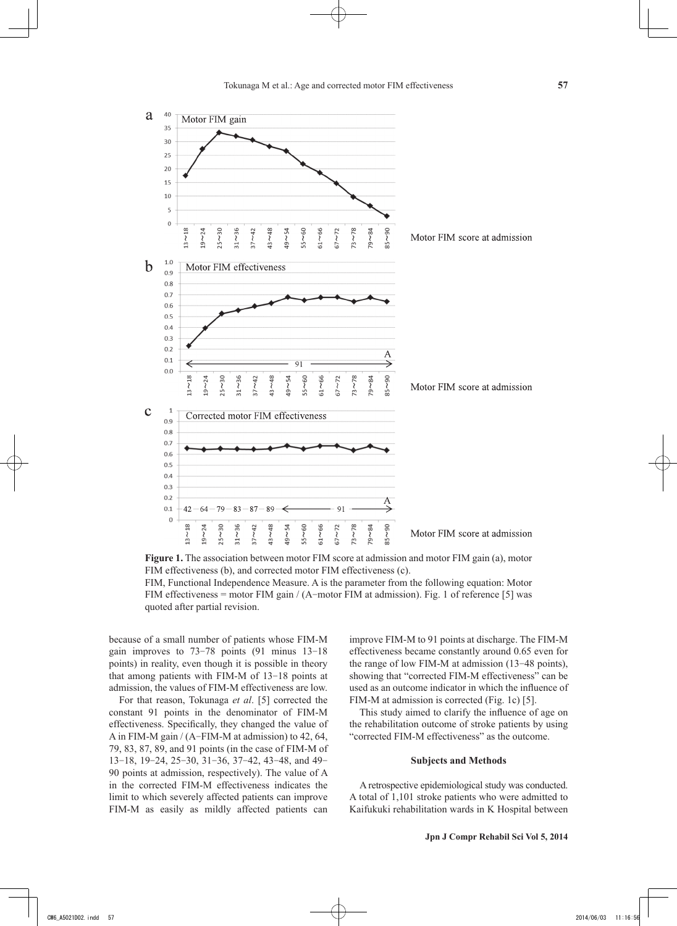

**Figure 1.** The association between motor FIM score at admission and motor FIM gain (a), motor FIM effectiveness (b), and corrected motor FIM effectiveness (c). FIM, Functional Independence Measure. A is the parameter from the following equation: Motor FIM effectiveness = motor FIM gain / (A-motor FIM at admission). Fig. 1 of reference [5] was quoted after partial revision.

because of a small number of patients whose FIM-M gain improves to 73-78 points (91 minus 13-18 points) in reality, even though it is possible in theory that among patients with FIM-M of 13-18 points at admission, the values of FIM-M effectiveness are low.

For that reason, Tokunaga *et al*. [5] corrected the constant 91 points in the denominator of FIM-M effectiveness. Specifically, they changed the value of A in FIM-M gain / (A-FIM-M at admission) to 42, 64, 79, 83, 87, 89, and 91 points (in the case of FIM-M of 13-18, 19-24, 25-30, 31-36, 37-42, 43-48, and 49- 90 points at admission, respectively). The value of A in the corrected FIM-M effectiveness indicates the limit to which severely affected patients can improve FIM-M as easily as mildly affected patients can improve FIM-M to 91 points at discharge. The FIM-M effectiveness became constantly around 0.65 even for the range of low FIM-M at admission (13-48 points), showing that "corrected FIM-M effectiveness" can be used as an outcome indicator in which the influence of FIM-M at admission is corrected (Fig. 1c) [5].

This study aimed to clarify the influence of age on the rehabilitation outcome of stroke patients by using "corrected FIM-M effectiveness" as the outcome.

## **Subjects and Methods**

A retrospective epidemiological study was conducted. A total of 1,101 stroke patients who were admitted to Kaifukuki rehabilitation wards in K Hospital between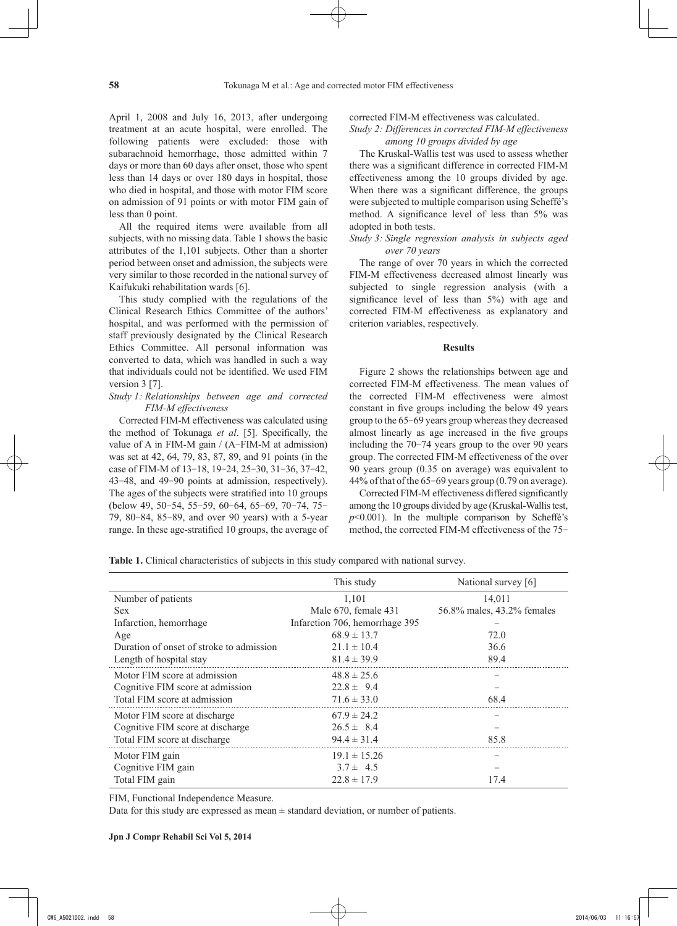April 1, 2008 and July 16, 2013, after undergoing treatment at an acute hospital, were enrolled. The following patients were excluded: those with subarachnoid hemorrhage, those admitted within 7 days or more than 60 days after onset, those who spent less than 14 days or over 180 days in hospital, those who died in hospital, and those with motor FIM score on admission of 91 points or with motor FIM gain of less than 0 point.

All the required items were available from all subjects, with no missing data. Table 1 shows the basic attributes of the 1,101 subjects. Other than a shorter period between onset and admission, the subjects were very similar to those recorded in the national survey of Kaifukuki rehabilitation wards [6].

This study complied with the regulations of the Clinical Research Ethics Committee of the authors' hospital, and was performed with the permission of staff previously designated by the Clinical Research Ethics Committee. All personal information was converted to data, which was handled in such a way that individuals could not be identified. We used FIM version 3 [7].

#### *Study 1: Relationships between age and corrected FIM-M effectiveness*

Corrected FIM-M effectiveness was calculated using the method of Tokunaga *et al*. [5]. Specifically, the value of A in FIM-M gain / (A-FIM-M at admission) was set at 42, 64, 79, 83, 87, 89, and 91 points (in the case of FIM-M of 13-18, 19-24, 25-30, 31-36, 37-42, 43-48, and 49-90 points at admission, respectively). The ages of the subjects were stratified into 10 groups (below 49, 50-54, 55-59, 60-64, 65-69, 70-74, 75- 79, 80-84, 85-89, and over 90 years) with a 5-year range. In these age-stratified 10 groups, the average of corrected FIM-M effectiveness was calculated.

#### *Study 2: Differences in corrected FIM-M effectiveness among 10 groups divided by age*

The Kruskal-Wallis test was used to assess whether there was a significant difference in corrected FIM-M effectiveness among the 10 groups divided by age. When there was a significant difference, the groups were subjected to multiple comparison using Scheffé's method. A significance level of less than 5% was adopted in both tests.

## *Study 3: Single regression analysis in subjects aged over 70 years*

The range of over 70 years in which the corrected FIM-M effectiveness decreased almost linearly was subjected to single regression analysis (with a significance level of less than 5%) with age and corrected FIM-M effectiveness as explanatory and criterion variables, respectively.

#### **Results**

Figure 2 shows the relationships between age and corrected FIM-M effectiveness. The mean values of the corrected FIM-M effectiveness were almost constant in five groups including the below 49 years group to the 65-69 years group whereas they decreased almost linearly as age increased in the five groups including the 70-74 years group to the over 90 years group. The corrected FIM-M effectiveness of the over 90 years group (0.35 on average) was equivalent to 44% of that of the 65-69 years group (0.79 on average).

Corrected FIM-M effectiveness differed significantly among the 10 groups divided by age (Kruskal-Wallis test,  $p$ <0.001). In the multiple comparison by Scheffé's method, the corrected FIM-M effectiveness of the 75-

**Table 1.** Clinical characteristics of subjects in this study compared with national survey.

|                                          | This study                     | National survey [6]        |
|------------------------------------------|--------------------------------|----------------------------|
| Number of patients                       | 1,101                          | 14,011                     |
| <b>Sex</b>                               | Male 670, female 431           | 56.8% males, 43.2% females |
| Infarction, hemorrhage                   | Infarction 706, hemorrhage 395 |                            |
| Age                                      | $68.9 \pm 13.7$                | 72.0                       |
| Duration of onset of stroke to admission | $21.1 \pm 10.4$                | 36.6                       |
| Length of hospital stay                  | $81.4 \pm 39.9$                | 89.4                       |
| Motor FIM score at admission             | $48.8 \pm 25.6$                |                            |
| Cognitive FIM score at admission         | $22.8 \pm 9.4$                 |                            |
| Total FIM score at admission             | $71.6 \pm 33.0$                | 68.4                       |
| Motor FIM score at discharge             | $67.9 \pm 24.2$                |                            |
| Cognitive FIM score at discharge         | $26.5 \pm 8.4$                 |                            |
| Total FIM score at discharge             | $94.4 \pm 31.4$                | 85.8                       |
| Motor FIM gain                           | $19.1 \pm 15.26$               |                            |
| Cognitive FIM gain                       | $3.7 \pm 4.5$                  |                            |
| Total FIM gain                           | $22.8 \pm 17.9$                | 17.4                       |

FIM, Functional Independence Measure.

Data for this study are expressed as mean  $\pm$  standard deviation, or number of patients.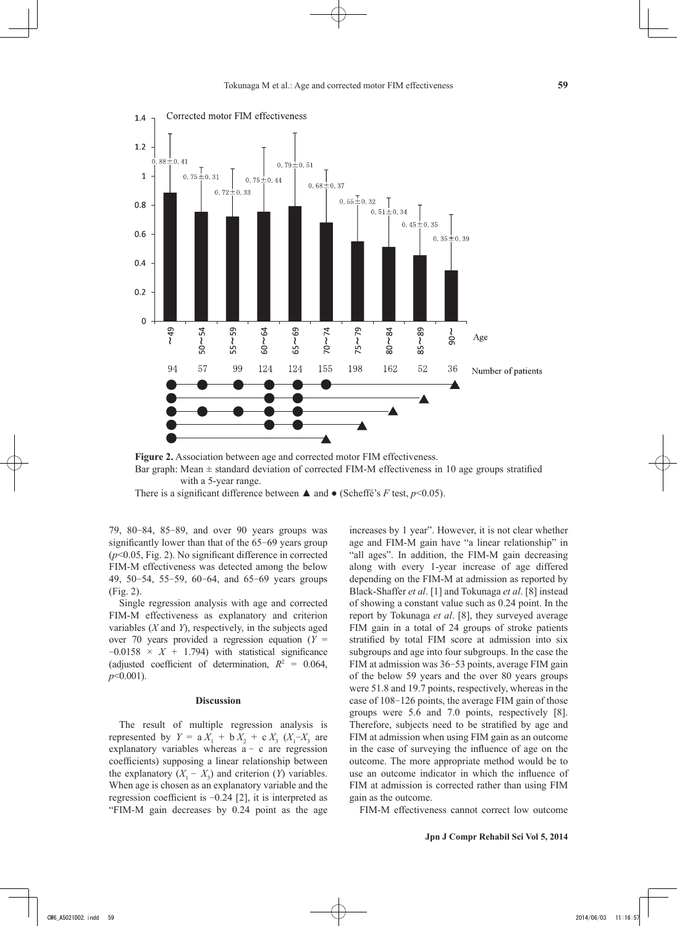

**Figure 2.** Association between age and corrected motor FIM effectiveness. Bar graph: Mean  $\pm$  standard deviation of corrected FIM-M effectiveness in 10 age groups stratified with a 5-year range.

There is a significant difference between  $\triangle$  and  $\bullet$  (Scheffé's *F* test, *p*<0.05).

79, 80-84, 85-89, and over 90 years groups was significantly lower than that of the 65-69 years group (*p*<0.05, Fig. 2). No significant difference in corrected FIM-M effectiveness was detected among the below 49, 50-54, 55-59, 60-64, and 65-69 years groups (Fig. 2).

Single regression analysis with age and corrected FIM-M effectiveness as explanatory and criterion variables (*X* and *Y*), respectively, in the subjects aged over 70 years provided a regression equation  $(Y =$  $-0.0158 \times X + 1.794$  with statistical significance (adjusted coefficient of determination,  $R^2 = 0.064$ , *p*<0.001).

#### **Discussion**

The result of multiple regression analysis is represented by  $Y = a X_1 + b X_2 + c X_3 (X_1 - X_3)$  are explanatory variables whereas  $a - c$  are regression coefficients) supposing a linear relationship between the explanatory  $(X_1 - X_3)$  and criterion  $(Y)$  variables. When age is chosen as an explanatory variable and the regression coefficient is -0.24 [2], it is interpreted as "FIM-M gain decreases by 0.24 point as the age

increases by 1 year". However, it is not clear whether age and FIM-M gain have "a linear relationship" in "all ages". In addition, the FIM-M gain decreasing along with every 1-year increase of age differed depending on the FIM-M at admission as reported by Black-Shaffer *et al*. [1] and Tokunaga *et al*. [8] instead of showing a constant value such as 0.24 point. In the report by Tokunaga *et al*. [8], they surveyed average FIM gain in a total of 24 groups of stroke patients stratified by total FIM score at admission into six subgroups and age into four subgroups. In the case the FIM at admission was 36-53 points, average FIM gain of the below 59 years and the over 80 years groups were 51.8 and 19.7 points, respectively, whereas in the case of 108-126 points, the average FIM gain of those groups were 5.6 and 7.0 points, respectively [8]. Therefore, subjects need to be stratified by age and FIM at admission when using FIM gain as an outcome in the case of surveying the influence of age on the outcome. The more appropriate method would be to use an outcome indicator in which the influence of FIM at admission is corrected rather than using FIM gain as the outcome.

FIM-M effectiveness cannot correct low outcome